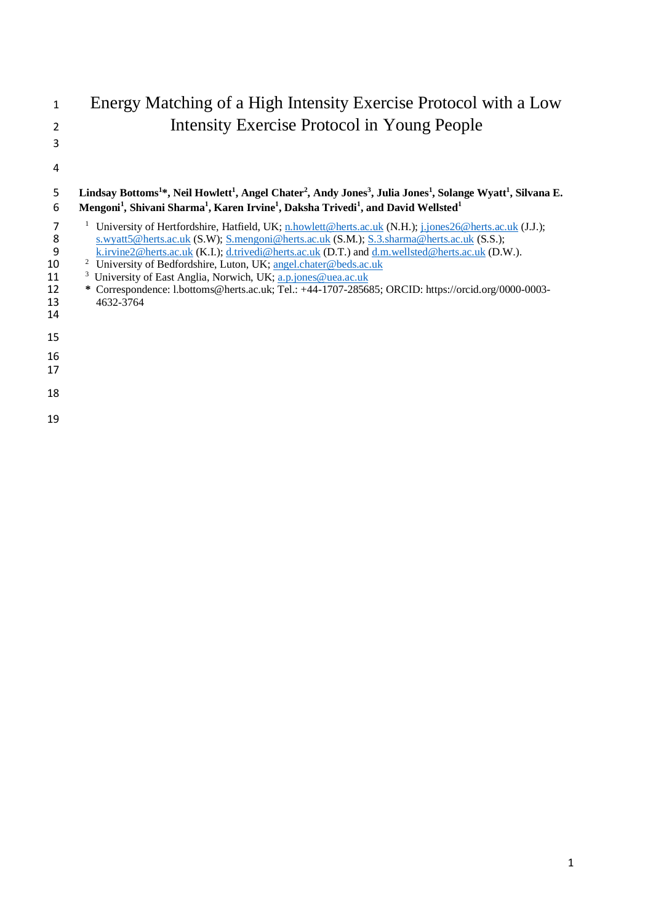# Energy Matching of a High Intensity Exercise Protocol with a Low Intensity Exercise Protocol in Young People

## **Lindsay Bottoms<sup>1</sup> \*, Neil Howlett<sup>1</sup> , Angel Chater<sup>2</sup> , Andy Jones<sup>3</sup> , Julia Jones<sup>1</sup> , Solange Wyatt<sup>1</sup> , Silvana E. Mengoni<sup>1</sup> , Shivani Sharma<sup>1</sup> , Karen Irvine<sup>1</sup> , Daksha Trivedi<sup>1</sup> , and David Wellsted<sup>1</sup>** <sup>1</sup> University of Hertfordshire, Hatfield, UK[; n.howlett@herts.ac.uk](mailto:n.howlett@herts.ac.uk) (N.H.)[; j.jones26@herts.ac.uk](mailto:j.jones26@herts.ac.uk) (J.J.);

- 
- [s.wyatt5@herts.ac.uk](mailto:s.wyatt5@herts.ac.uk) (S.W)[; S.mengoni@herts.ac.uk](mailto:S.mengoni@herts.ac.uk) (S.M.); [S.3.sharma@herts.ac.uk](mailto:S.3.sharma@herts.ac.uk) (S.S.);<br>8 k.irvine2@herts.ac.uk (K.I.); d.trivedi@herts.ac.uk (D.T.) and d.m.wellsted@herts.ac.uk (D.V 9 [k.irvine2@herts.ac.uk](mailto:k.irvine2@herts.ac.uk) (K.I.); [d.trivedi@herts.ac.uk](mailto:d.trivedi@herts.ac.uk) (D.T.) and  $\underline{d.m.wellsted@herts.ac.uk}$  (D.W.).<br>10 <sup>2</sup> University of Bedfordshire. Luton. UK: angel.chater@beds.ac.uk
- <sup>2</sup> University of Bedfordshire, Luton, UK; angel.chater@beds.ac.uk<br>
<sup>3</sup> University of East Anglia, Norwich, UK; a.p.jones@uea.ac.uk
- <sup>3</sup> University of East Anglia, Norwich, UK; [a.p.jones@uea.ac.uk](mailto:a.p.jones@uea.ac.uk)<br>
<sup>3</sup> Correspondence: 1.bottoms@herts.ac.uk; Tel.: +44-1707-2856
- **\*** Correspondence: l.bottoms@herts.ac.uk; Tel.: +44-1707-285685; ORCID: https://orcid.org/0000-0003- 4632-3764
- 
- 
- 
- 
- 
- 
-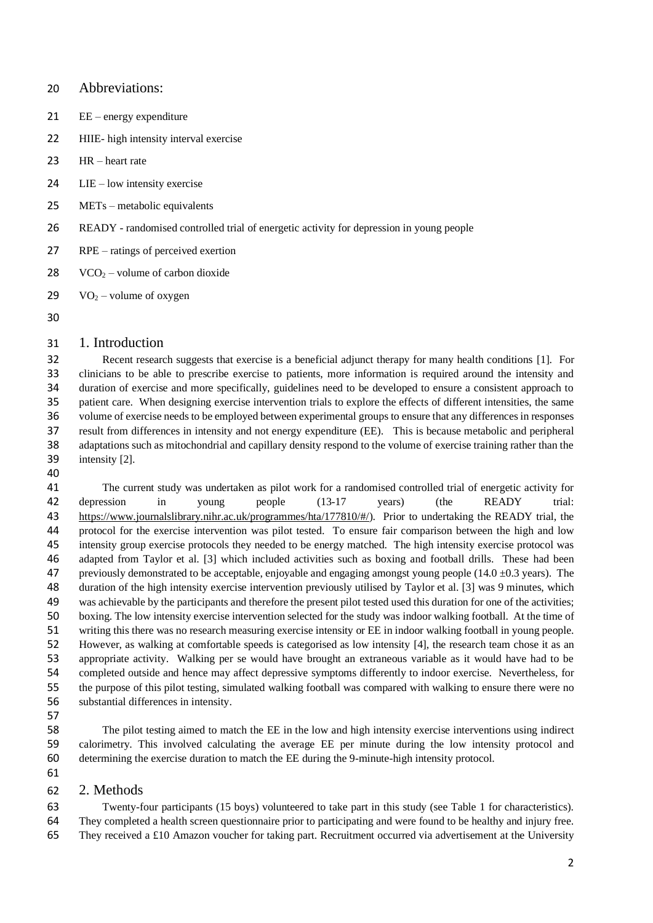#### Abbreviations:

- EE energy expenditure
- HIIE- high intensity interval exercise
- HR heart rate
- LIE low intensity exercise
- METs metabolic equivalents
- READY randomised controlled trial of energetic activity for depression in young people
- RPE ratings of perceived exertion
- 28 VCO<sub>2</sub> volume of carbon dioxide
- 29  $VO_2$  volume of oxygen

#### 1. Introduction

 Recent research suggests that exercise is a beneficial adjunct therapy for many health conditions [1]. For clinicians to be able to prescribe exercise to patients, more information is required around the intensity and duration of exercise and more specifically, guidelines need to be developed to ensure a consistent approach to patient care. When designing exercise intervention trials to explore the effects of different intensities, the same volume of exercise needs to be employed between experimental groups to ensure that any differences in responses result from differences in intensity and not energy expenditure (EE). This is because metabolic and peripheral adaptations such as mitochondrial and capillary density respond to the volume of exercise training rather than the intensity [2].

 The current study was undertaken as pilot work for a randomised controlled trial of energetic activity for depression in young people (13-17 years) (the READY trial: [https://www.journalslibrary.nihr.ac.uk/programmes/hta/177810/#/\)](https://www.journalslibrary.nihr.ac.uk/programmes/hta/177810/#/). Prior to undertaking the READY trial, the protocol for the exercise intervention was pilot tested. To ensure fair comparison between the high and low intensity group exercise protocols they needed to be energy matched. The high intensity exercise protocol was adapted from Taylor et al. [3] which included activities such as boxing and football drills. These had been 47 previously demonstrated to be acceptable, enjoyable and engaging amongst young people  $(14.0 \pm 0.3 \text{ years})$ . The duration of the high intensity exercise intervention previously utilised by Taylor et al. [3] was 9 minutes, which was achievable by the participants and therefore the present pilot tested used this duration for one of the activities; boxing. The low intensity exercise intervention selected for the study was indoor walking football. At the time of writing this there was no research measuring exercise intensity or EE in indoor walking football in young people. However, as walking at comfortable speeds is categorised as low intensity [4], the research team chose it as an appropriate activity. Walking per se would have brought an extraneous variable as it would have had to be completed outside and hence may affect depressive symptoms differently to indoor exercise. Nevertheless, for the purpose of this pilot testing, simulated walking football was compared with walking to ensure there were no substantial differences in intensity.

 The pilot testing aimed to match the EE in the low and high intensity exercise interventions using indirect calorimetry. This involved calculating the average EE per minute during the low intensity protocol and determining the exercise duration to match the EE during the 9-minute-high intensity protocol.

#### 2. Methods

 Twenty-four participants (15 boys) volunteered to take part in this study (see Table 1 for characteristics). They completed a health screen questionnaire prior to participating and were found to be healthy and injury free. 65 They received a £10 Amazon voucher for taking part. Recruitment occurred via advertisement at the University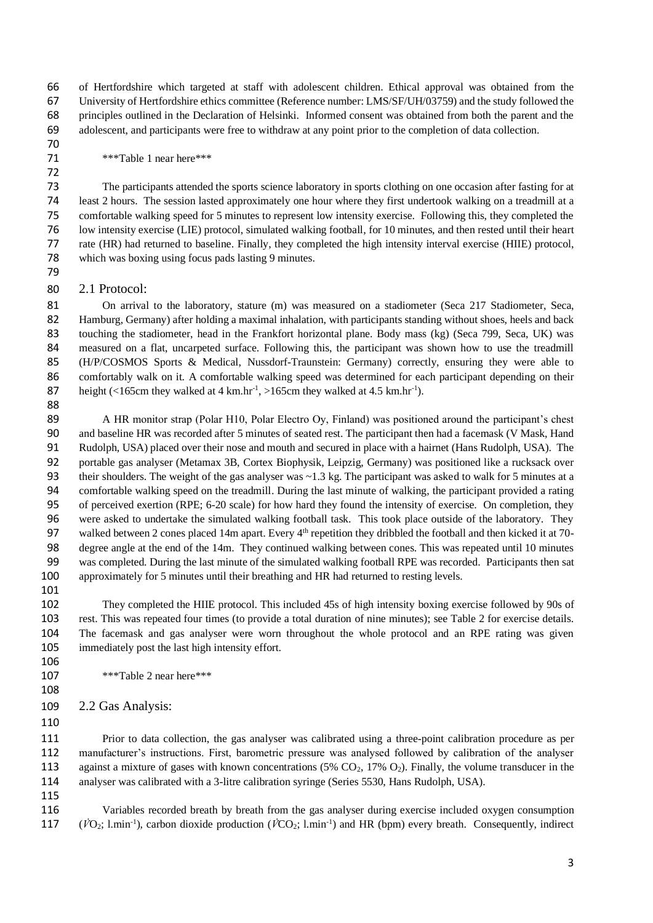of Hertfordshire which targeted at staff with adolescent children. Ethical approval was obtained from the University of Hertfordshire ethics committee (Reference number: LMS/SF/UH/03759) and the study followed the principles outlined in the Declaration of Helsinki. Informed consent was obtained from both the parent and the adolescent, and participants were free to withdraw at any point prior to the completion of data collection.

\*\*\*Table 1 near here\*\*\*

 The participants attended the sports science laboratory in sports clothing on one occasion after fasting for at least 2 hours. The session lasted approximately one hour where they first undertook walking on a treadmill at a comfortable walking speed for 5 minutes to represent low intensity exercise. Following this, they completed the low intensity exercise (LIE) protocol, simulated walking football, for 10 minutes, and then rested until their heart rate (HR) had returned to baseline. Finally, they completed the high intensity interval exercise (HIIE) protocol, which was boxing using focus pads lasting 9 minutes.

2.1 Protocol:

81 On arrival to the laboratory, stature (m) was measured on a stadiometer (Seca 217 Stadiometer, Seca, Hamburg, Germany) after holding a maximal inhalation, with participants standing without shoes, heels and back touching the stadiometer, head in the Frankfort horizontal plane. Body mass (kg) (Seca 799, Seca, UK) was measured on a flat, uncarpeted surface. Following this, the participant was shown how to use the treadmill (H/P/COSMOS Sports & Medical, Nussdorf-Traunstein: Germany) correctly, ensuring they were able to 86 comfortably walk on it. A comfortable walking speed was determined for each participant depending on their 87 height (<165cm they walked at 4 km.hr<sup>-1</sup>, >165cm they walked at 4.5 km.hr<sup>-1</sup>). 

89 A HR monitor strap (Polar H10, Polar Electro Oy, Finland) was positioned around the participant's chest and baseline HR was recorded after 5 minutes of seated rest. The participant then had a facemask (V Mask, Hand Rudolph, USA) placed over their nose and mouth and secured in place with a hairnet (Hans Rudolph, USA). The portable gas analyser (Metamax 3B, Cortex Biophysik, Leipzig, Germany) was positioned like a rucksack over 93 their shoulders. The weight of the gas analyser was  $\sim$  1.3 kg. The participant was asked to walk for 5 minutes at a comfortable walking speed on the treadmill. During the last minute of walking, the participant provided a rating of perceived exertion (RPE; 6-20 scale) for how hard they found the intensity of exercise. On completion, they were asked to undertake the simulated walking football task. This took place outside of the laboratory. They 97 walked between 2 cones placed 14m apart. Every  $4<sup>th</sup>$  repetition they dribbled the football and then kicked it at 70- degree angle at the end of the 14m. They continued walking between cones. This was repeated until 10 minutes was completed. During the last minute of the simulated walking football RPE was recorded. Participants then sat approximately for 5 minutes until their breathing and HR had returned to resting levels.

 They completed the HIIE protocol. This included 45s of high intensity boxing exercise followed by 90s of rest. This was repeated four times (to provide a total duration of nine minutes); see Table 2 for exercise details. The facemask and gas analyser were worn throughout the whole protocol and an RPE rating was given immediately post the last high intensity effort.

- \*\*\*Table 2 near here\*\*\*
- 2.2 Gas Analysis:
- 

 Prior to data collection, the gas analyser was calibrated using a three-point calibration procedure as per manufacturer's instructions. First, barometric pressure was analysed followed by calibration of the analyser 113 against a mixture of gases with known concentrations  $(5\% \text{ CO}_2, 17\% \text{ O}_2)$ . Finally, the volume transducer in the analyser was calibrated with a 3-litre calibration syringe (Series 5530, Hans Rudolph, USA).

 Variables recorded breath by breath from the gas analyser during exercise included oxygen consumption ( $\dot{V}O_2$ ; l.min<sup>-1</sup>), carbon dioxide production ( $\dot{V}CO_2$ ; l.min<sup>-1</sup>) and HR (bpm) every breath. Consequently, indirect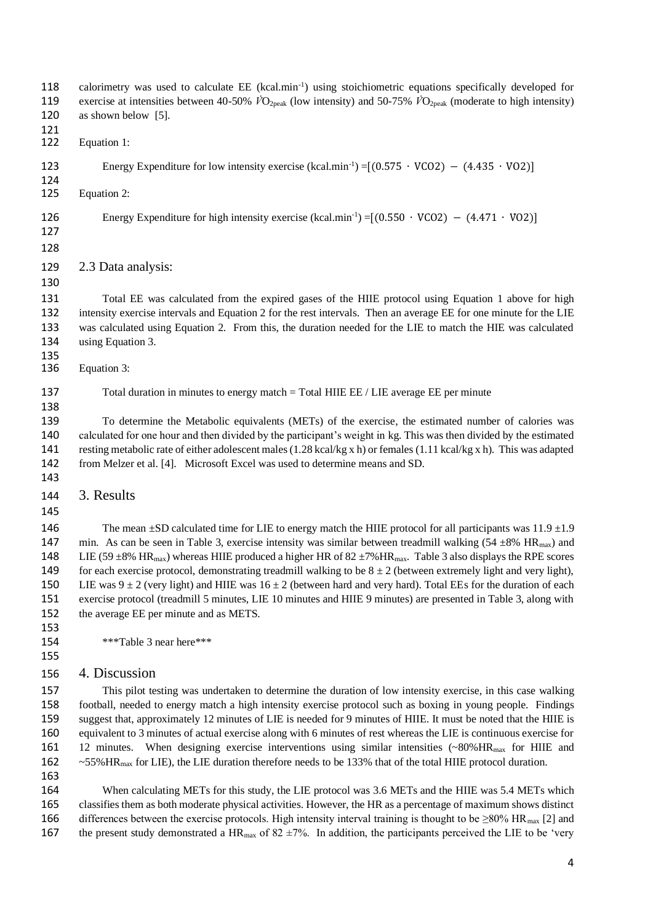118 calorimetry was used to calculate  $EE$  (kcal.min<sup>-1</sup>) using stoichiometric equations specifically developed for exercise at intensities between 40-50% *V̇*O2peak (low intensity) and 50-75% *V̇*O2peak (moderate to high intensity) 120 as shown below [5]. Equation 1: Energy Expenditure for low intensity exercise (kcal.min<sup>-1</sup>) = $[(0.575 \cdot VCO2) - (4.435 \cdot VOC)]$  Equation 2: 126 Energy Expenditure for high intensity exercise (kcal.min<sup>-1</sup>) =[ $(0.550 \cdot VCO2) - (4.471 \cdot VOC)$ ] 2.3 Data analysis: Total EE was calculated from the expired gases of the HIIE protocol using Equation 1 above for high intensity exercise intervals and Equation 2 for the rest intervals. Then an average EE for one minute for the LIE was calculated using Equation 2. From this, the duration needed for the LIE to match the HIE was calculated using Equation 3. Equation 3: 137 Total duration in minutes to energy match = Total HIIE EE / LIE average EE per minute To determine the Metabolic equivalents (METs) of the exercise, the estimated number of calories was calculated for one hour and then divided by the participant's weight in kg. This was then divided by the estimated resting metabolic rate of either adolescent males (1.28 kcal/kg x h) or females (1.11 kcal/kg x h). This was adapted from Melzer et al. [4]. Microsoft Excel was used to determine means and SD. 3. Results 146 The mean  $\pm$ SD calculated time for LIE to energy match the HIIE protocol for all participants was 11.9  $\pm$ 1.9 147 min. As can be seen in Table 3, exercise intensity was similar between treadmill walking (54  $\pm$ 8% HR<sub>max</sub>) and 148 LIE (59  $\pm$ 8% HR<sub>max</sub>) whereas HIIE produced a higher HR of 82  $\pm$ 7% HR<sub>max</sub>. Table 3 also displays the RPE scores 149 for each exercise protocol, demonstrating treadmill walking to be  $8 \pm 2$  (between extremely light and very light), 150 LIE was  $9 \pm 2$  (very light) and HIIE was  $16 \pm 2$  (between hard and very hard). Total EEs for the duration of each exercise protocol (treadmill 5 minutes, LIE 10 minutes and HIIE 9 minutes) are presented in Table 3, along with the average EE per minute and as METS. \*\*\*Table 3 near here\*\*\* 4. Discussion This pilot testing was undertaken to determine the duration of low intensity exercise, in this case walking football, needed to energy match a high intensity exercise protocol such as boxing in young people. Findings suggest that, approximately 12 minutes of LIE is needed for 9 minutes of HIIE. It must be noted that the HIIE is equivalent to 3 minutes of actual exercise along with 6 minutes of rest whereas the LIE is continuous exercise for 12 minutes. When designing exercise interventions using similar intensities (~80%HRmax for HIIE and ~55%HRmax for LIE), the LIE duration therefore needs to be 133% that of the total HIIE protocol duration. When calculating METs for this study, the LIE protocol was 3.6 METs and the HIIE was 5.4 METs which

 classifies them as both moderate physical activities. However, the HR as a percentage of maximum shows distinct 166 differences between the exercise protocols. High intensity interval training is thought to be  $\geq 80\%$  HR<sub>max</sub> [2] and 167 the present study demonstrated a HR<sub>max</sub> of 82  $\pm$ 7%. In addition, the participants perceived the LIE to be 'very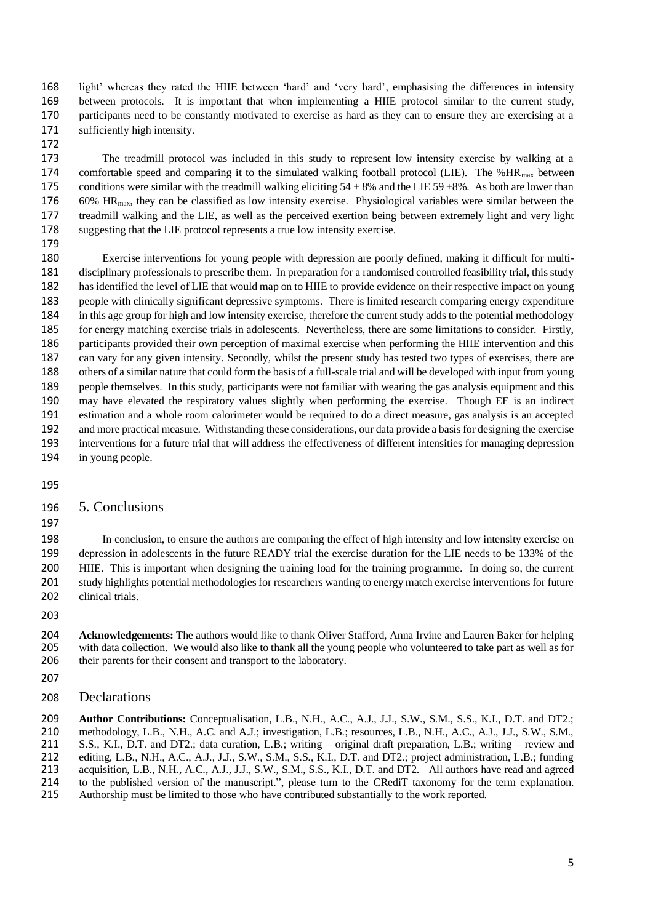light' whereas they rated the HIIE between 'hard' and 'very hard', emphasising the differences in intensity between protocols. It is important that when implementing a HIIE protocol similar to the current study, participants need to be constantly motivated to exercise as hard as they can to ensure they are exercising at a sufficiently high intensity.

 The treadmill protocol was included in this study to represent low intensity exercise by walking at a 174 comfortable speed and comparing it to the simulated walking football protocol (LIE). The %HR<sub>max</sub> between 175 conditions were similar with the treadmill walking eliciting  $54 \pm 8\%$  and the LIE 59  $\pm 8\%$ . As both are lower than 60% HRmax, they can be classified as low intensity exercise. Physiological variables were similar between the treadmill walking and the LIE, as well as the perceived exertion being between extremely light and very light suggesting that the LIE protocol represents a true low intensity exercise.

 Exercise interventions for young people with depression are poorly defined, making it difficult for multi- disciplinary professionals to prescribe them. In preparation for a randomised controlled feasibility trial, this study has identified the level of LIE that would map on to HIIE to provide evidence on their respective impact on young people with clinically significant depressive symptoms. There is limited research comparing energy expenditure in this age group for high and low intensity exercise, therefore the current study adds to the potential methodology for energy matching exercise trials in adolescents. Nevertheless, there are some limitations to consider. Firstly, participants provided their own perception of maximal exercise when performing the HIIE intervention and this can vary for any given intensity. Secondly, whilst the present study has tested two types of exercises, there are others of a similar nature that could form the basis of a full-scale trial and will be developed with input from young people themselves. In this study, participants were not familiar with wearing the gas analysis equipment and this may have elevated the respiratory values slightly when performing the exercise. Though EE is an indirect estimation and a whole room calorimeter would be required to do a direct measure, gas analysis is an accepted and more practical measure. Withstanding these considerations, our data provide a basis for designing the exercise interventions for a future trial that will address the effectiveness of different intensities for managing depression in young people.

#### 5. Conclusions

 In conclusion, to ensure the authors are comparing the effect of high intensity and low intensity exercise on depression in adolescents in the future READY trial the exercise duration for the LIE needs to be 133% of the HIIE. This is important when designing the training load for the training programme. In doing so, the current study highlights potential methodologies for researchers wanting to energy match exercise interventions for future 202 clinical trials.

 **Acknowledgements:** The authors would like to thank Oliver Stafford, Anna Irvine and Lauren Baker for helping with data collection. We would also like to thank all the young people who volunteered to take part as well as for 206 their parents for their consent and transport to the laboratory.

### Declarations

 **Author Contributions:** Conceptualisation, L.B., N.H., A.C., A.J., J.J., S.W., S.M., S.S., K.I., D.T. and DT2.; methodology, L.B., N.H., A.C. and A.J.; investigation, L.B.; resources, L.B., N.H., A.C., A.J., J.J., S.W., S.M., 211 S.S., K.I., D.T. and DT2.; data curation, L.B.; writing – original draft preparation, L.B.; writing – review and editing, L.B., N.H., A.C., A.J., J.J., S.W., S.M., S.S., K.I., D.T. and DT2.; project administration, L.B editing, L.B., N.H., A.C., A.J., J.J., S.W., S.M., S.S., K.I., D.T. and DT2.; project administration, L.B.; funding acquisition, L.B., N.H., A.C., A.J., J.J., S.W., S.M., S.S., K.I., D.T. and DT2. All authors have read and agreed to the published version of the manuscript.", please turn to the [CRediT taxonomy](http://img.mdpi.org/data/contributor-role-instruction.pdf) for the term explanation. Authorship must be limited to those who have contributed substantially to the work reported.